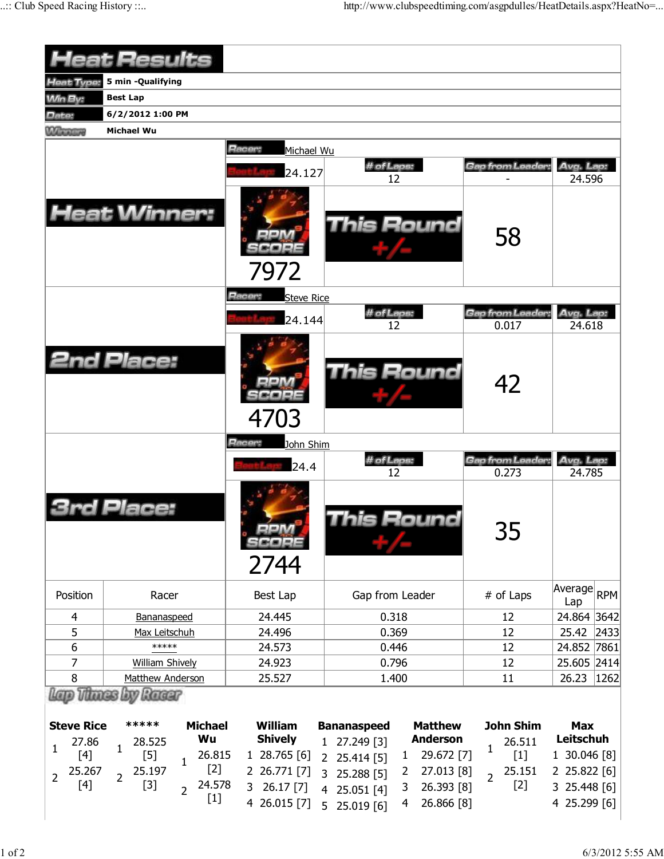|                                                                             | <b>Heat Results</b>                                                                                                                                                                                                                                                                                                                                                             |                                                                                             |                                                                                                                                                                                                                                                   |                                                                                          |                                                                                         |
|-----------------------------------------------------------------------------|---------------------------------------------------------------------------------------------------------------------------------------------------------------------------------------------------------------------------------------------------------------------------------------------------------------------------------------------------------------------------------|---------------------------------------------------------------------------------------------|---------------------------------------------------------------------------------------------------------------------------------------------------------------------------------------------------------------------------------------------------|------------------------------------------------------------------------------------------|-----------------------------------------------------------------------------------------|
| <b>Heat Type:</b>                                                           | 5 min - Qualifying                                                                                                                                                                                                                                                                                                                                                              |                                                                                             |                                                                                                                                                                                                                                                   |                                                                                          |                                                                                         |
| <b>Min By:</b>                                                              | <b>Best Lap</b>                                                                                                                                                                                                                                                                                                                                                                 |                                                                                             |                                                                                                                                                                                                                                                   |                                                                                          |                                                                                         |
| Date:                                                                       | 6/2/2012 1:00 PM                                                                                                                                                                                                                                                                                                                                                                |                                                                                             |                                                                                                                                                                                                                                                   |                                                                                          |                                                                                         |
| <b>Winners</b>                                                              | <b>Michael Wu</b>                                                                                                                                                                                                                                                                                                                                                               |                                                                                             |                                                                                                                                                                                                                                                   |                                                                                          |                                                                                         |
|                                                                             | <b>Heat Winner:</b>                                                                                                                                                                                                                                                                                                                                                             | Racer:<br>Michael Wu<br>24.127<br>7972                                                      | # of Laps:<br>12<br><b>This Round</b>                                                                                                                                                                                                             | Gap from Leader<br>58                                                                    | Avg. Lap:<br>24.596                                                                     |
|                                                                             |                                                                                                                                                                                                                                                                                                                                                                                 | Racer:<br><b>Steve Rice</b><br>24.144                                                       | # of Laps:<br>12                                                                                                                                                                                                                                  | Gap from Leader:<br>0.017                                                                | Avg. Lap:<br>24.618                                                                     |
|                                                                             | <b>2nd Place:</b>                                                                                                                                                                                                                                                                                                                                                               | 4703                                                                                        | <b>This Round</b>                                                                                                                                                                                                                                 | 42                                                                                       |                                                                                         |
|                                                                             |                                                                                                                                                                                                                                                                                                                                                                                 | Racer:<br>John Shim<br>24.4                                                                 | # of Laps:<br>12                                                                                                                                                                                                                                  | Gap from Leader:<br>0.273                                                                | Avg. Lap:<br>24.785                                                                     |
|                                                                             | rd Place:                                                                                                                                                                                                                                                                                                                                                                       | 口口八刀<br>2744                                                                                | his Round                                                                                                                                                                                                                                         | 35                                                                                       |                                                                                         |
| Position                                                                    | Racer                                                                                                                                                                                                                                                                                                                                                                           | Best Lap                                                                                    | Gap from Leader                                                                                                                                                                                                                                   | # of Laps                                                                                | Average RPM<br>Lap                                                                      |
| 4                                                                           | Bananaspeed                                                                                                                                                                                                                                                                                                                                                                     | 24.445                                                                                      | 0.318                                                                                                                                                                                                                                             | 12                                                                                       | 24.864 3642                                                                             |
| 5                                                                           | Max Leitschuh                                                                                                                                                                                                                                                                                                                                                                   | 24.496                                                                                      | 0.369                                                                                                                                                                                                                                             | 12                                                                                       | 25.42<br> 2433                                                                          |
| 6                                                                           | *****                                                                                                                                                                                                                                                                                                                                                                           | 24.573                                                                                      | 0.446                                                                                                                                                                                                                                             | 12                                                                                       | 24.852 7861                                                                             |
| 7                                                                           | <b>William Shively</b>                                                                                                                                                                                                                                                                                                                                                          | 24.923                                                                                      | 0.796                                                                                                                                                                                                                                             | 12                                                                                       | 25.605 2414                                                                             |
| 8                                                                           | Matthew Anderson<br><b>Thunes by Ranger</b>                                                                                                                                                                                                                                                                                                                                     | 25.527                                                                                      | 1.400                                                                                                                                                                                                                                             | 11                                                                                       | 26.23<br> 1262                                                                          |
| <b>Steve Rice</b><br>27.86<br>1<br>$[4]$<br>25.267<br>$\overline{2}$<br>[4] | *****<br><b>Michael</b><br>Wu<br>28.525<br>$\mathbf{1}$<br>$[5]$<br>26.815<br>$\mathbf 1$<br>$[2]$<br>25.197<br>$\overline{2}$<br>24.578<br>$[3]$<br>$\overline{2}$<br>$[1] % \includegraphics[width=0.9\columnwidth]{figures/fig_10.pdf} \caption{The figure shows the number of times, and the number of times, and the number of times, respectively.} \label{fig:fig:time}$ | William<br><b>Shively</b><br>1 28.765 [6]<br>2 26.771 [7]<br>26.17 [7]<br>3<br>4 26.015 [7] | <b>Matthew</b><br><b>Bananaspeed</b><br><b>Anderson</b><br>1 27.249 [3]<br>29.672 [7]<br>$\mathbf{1}$<br>2 25.414 [5]<br>27.013 [8]<br>$\overline{2}$<br>3<br>25.288 [5]<br>26.393 [8]<br>3<br>4 25.051 [4]<br>26.866 [8]<br>4<br>5<br>25.019 [6] | <b>John Shim</b><br>26.511<br>$\mathbf{1}$<br>$[1]$<br>25.151<br>$\overline{2}$<br>$[2]$ | <b>Max</b><br>Leitschuh<br>1 30.046 [8]<br>2 25.822 [6]<br>3 25.448 [6]<br>4 25.299 [6] |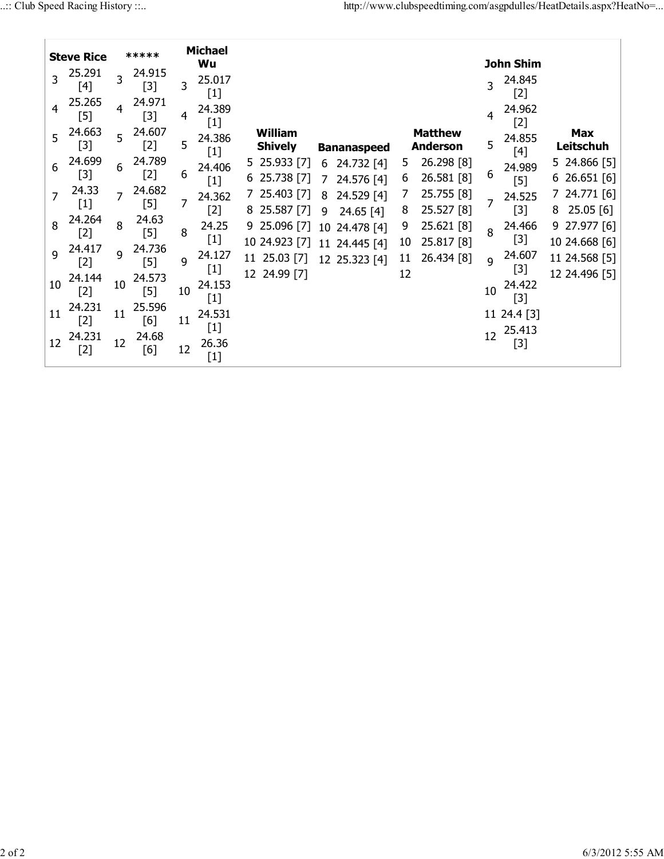|    | <b>Steve Rice</b> |                | *****           |    | <b>Michael</b><br>Wu                                                                                                                                                                                                                                                                                                            |                                  |                 |                             |          |                                   |    | <b>John Shim</b>      |                                 |  |
|----|-------------------|----------------|-----------------|----|---------------------------------------------------------------------------------------------------------------------------------------------------------------------------------------------------------------------------------------------------------------------------------------------------------------------------------|----------------------------------|-----------------|-----------------------------|----------|-----------------------------------|----|-----------------------|---------------------------------|--|
|    | 25.291<br>[4]     | $\overline{3}$ | 24.915<br>$[3]$ | 3  | 25.017                                                                                                                                                                                                                                                                                                                          |                                  |                 |                             |          |                                   | 3  | 24.845<br>[2]         |                                 |  |
|    | 25.265<br>$[5]$   | 4              | 24.971<br>$[3]$ | 4  | 24.389<br>$[1] % \includegraphics[width=0.9\columnwidth]{figures/fig_1a} \caption{The figure shows the number of times, and the number of times, and the number of times, and the number of times, are indicated with the number of times, and the number of times, are indicated with the number of times.} \label{fig:2}$     |                                  |                 |                             |          |                                   | 4  | 24.962<br>[2]         |                                 |  |
| 5  | 24.663<br>[3]     | 5              | 24.607<br>$[2]$ | 5  | 24.386<br>$[1] % \includegraphics[width=0.9\columnwidth]{figures/fig_1a} \caption{The figure shows the number of times on the right.} \label{fig:1} %$                                                                                                                                                                          | <b>William</b><br><b>Shively</b> |                 | <b>Bananaspeed</b>          |          | <b>Matthew</b><br><b>Anderson</b> | 5  | 24.855<br>[4]         | <b>Max</b><br>Leitschuh         |  |
| 6  | 24.699<br>$[3]$   | 6              | 24.789<br>$[2]$ | 6  | 24.406<br>$[1]$                                                                                                                                                                                                                                                                                                                 | 5 25.933 [7]<br>25.738 [7]<br>6  | 6<br>7          | 24.732 [4]<br>24.576 [4]    | 5<br>6   | 26.298 [8]<br>26.581 [8]          | 6  | 24.989<br>$[5]$       | 5 24.866 [5]<br>626.651[6]      |  |
|    | 24.33<br>$[1]$    | $\overline{7}$ | 24.682<br>$[5]$ | 7  | 24.362<br>$[2]$                                                                                                                                                                                                                                                                                                                 | 7 25.403 [7]<br>25.587 [7]<br>8  | 8<br>9          | 24.529 [4]<br>$24.65$ [4]   | 8        | 25.755 [8]<br>25.527 [8]          |    | 24.525<br>$[3]$       | 7 24.771 [6]<br>25.05[6]<br>8   |  |
| 8  | 24.264<br>$[2]$   | 8              | 24.63<br>$[5]$  | 8  | 24.25<br>$[1]$                                                                                                                                                                                                                                                                                                                  | 9 25.096 [7]<br>10 24.923 [7]    | 10 <sup>°</sup> | 24.478 [4]<br>11 24.445 [4] | 9<br>10  | 25.621 [8]<br>25.817 [8]          | 8  | 24.466<br>$[3]$       | $9$ 27.977 [6]<br>10 24.668 [6] |  |
| 9  | 24.417<br>$[2]$   | 9              | 24.736<br>$[5]$ | 9  | 24.127                                                                                                                                                                                                                                                                                                                          | 11 25.03 [7]<br>12 24.99 [7]     |                 | 12 25.323 [4]               | 11<br>12 | 26.434 [8]                        | 9  | 24.607<br>[3]         | 11 24.568 [5]<br>12 24.496 [5]  |  |
| 10 | 24.144<br>$[2]$   | 10             | 24.573<br>$[5]$ | 10 | 24.153<br>$[1]$                                                                                                                                                                                                                                                                                                                 |                                  |                 |                             |          |                                   | 10 | 24.422<br>[3]         |                                 |  |
| 11 | 24.231<br>$[2]$   | 11             | 25.596<br>[6]   | 11 | 24.531<br>$[1] % \includegraphics[width=0.9\columnwidth]{figures/fig_1a} \caption{The figure shows the number of times, and the number of times, and the number of times, and the number of times, are indicated with the number of times, and the number of times, are indicated with the number of times.} \label{fig:2}$     |                                  |                 |                             |          |                                   |    | 11 24.4 [3]<br>25.413 |                                 |  |
| 12 | 24.231<br>[2]     | 12             | 24.68<br>[6]    | 12 | 26.36<br>$[1] % \includegraphics[width=0.9\columnwidth]{figures/fig_1a} \caption{The figure shows the number of times on the right, and the number of times on the right, respectively. The number of times on the right, the number of times on the right, and the number of times on the right, respectively.} \label{fig:2}$ |                                  |                 |                             |          |                                   | 12 | [3]                   |                                 |  |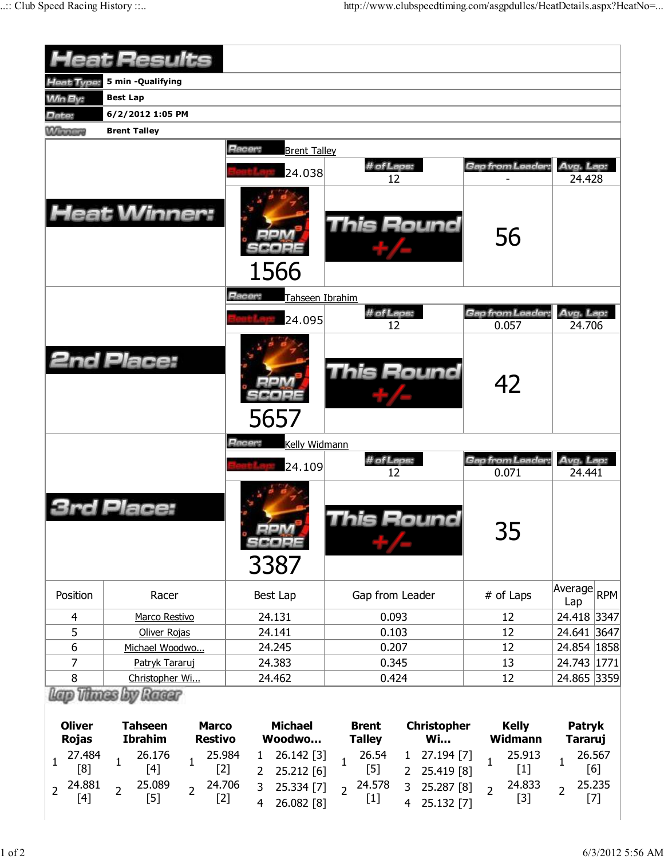|                                                                                                     | <b>Heat Results</b>                                                                                                    |                                                                          |                                                                                                                                                                         |                                                                      |                                                         |  |  |
|-----------------------------------------------------------------------------------------------------|------------------------------------------------------------------------------------------------------------------------|--------------------------------------------------------------------------|-------------------------------------------------------------------------------------------------------------------------------------------------------------------------|----------------------------------------------------------------------|---------------------------------------------------------|--|--|
| Heat Type:                                                                                          | 5 min -Qualifying                                                                                                      |                                                                          |                                                                                                                                                                         |                                                                      |                                                         |  |  |
| <b>Min By:</b>                                                                                      | <b>Best Lap</b>                                                                                                        |                                                                          |                                                                                                                                                                         |                                                                      |                                                         |  |  |
| Date:                                                                                               | 6/2/2012 1:05 PM                                                                                                       |                                                                          |                                                                                                                                                                         |                                                                      |                                                         |  |  |
| <b>Winners</b>                                                                                      | <b>Brent Talley</b>                                                                                                    |                                                                          |                                                                                                                                                                         |                                                                      |                                                         |  |  |
|                                                                                                     | <b>Heat Winner:</b>                                                                                                    | Racer:<br><b>Brent Talley</b><br>24.038<br>1566                          | # of Laps:<br>12<br>This Round                                                                                                                                          | Gap from Leader:<br>56                                               | Avg. Lap:<br>24.428                                     |  |  |
|                                                                                                     |                                                                                                                        | Racer:<br>Tahseen Ibrahim<br>24.095                                      | # of Laps:<br>12                                                                                                                                                        | Gap from Leader<br>0.057                                             | Avg. Lap:<br>24.706                                     |  |  |
|                                                                                                     | <b>2nd Place:</b>                                                                                                      | 5657                                                                     | This Round                                                                                                                                                              | 42                                                                   |                                                         |  |  |
|                                                                                                     |                                                                                                                        | Racer:<br>Kelly Widmann<br>24.109                                        | # of Laps:<br>12                                                                                                                                                        | Gap from Leader:<br>0.071                                            | Avg. Lap:<br>24.441                                     |  |  |
|                                                                                                     | Placer                                                                                                                 | 3387                                                                     | his Round                                                                                                                                                               | 35                                                                   |                                                         |  |  |
| Position                                                                                            | Racer                                                                                                                  | Best Lap                                                                 | Gap from Leader                                                                                                                                                         | # of Laps                                                            | Average<br><b>RPM</b><br>Lap                            |  |  |
| $\overline{4}$                                                                                      | Marco Restivo                                                                                                          | 24.131                                                                   | 0.093                                                                                                                                                                   | 12                                                                   | 24.418 3347                                             |  |  |
| 5                                                                                                   | Oliver Rojas                                                                                                           | 24.141                                                                   | 0.103                                                                                                                                                                   | 12                                                                   | 24.641 3647                                             |  |  |
| $\boldsymbol{6}$                                                                                    | Michael Woodwo                                                                                                         | 24.245                                                                   | 0.207                                                                                                                                                                   | 12                                                                   | 24.854 1858                                             |  |  |
| 7                                                                                                   | Patryk Tararuj                                                                                                         | 24.383                                                                   | 0.345                                                                                                                                                                   | 13                                                                   | 24.743 1771                                             |  |  |
| 8                                                                                                   | Christopher Wi<br><b>Lov Ranger</b>                                                                                    | 24.462                                                                   | 0.424                                                                                                                                                                   | 12                                                                   | 24.865 3359                                             |  |  |
| <b>Oliver</b><br><b>Tahseen</b><br><b>Marco</b><br><b>Ibrahim</b><br><b>Restivo</b><br><b>Rojas</b> |                                                                                                                        | <b>Michael</b><br>Woodwo                                                 | <b>Christopher</b><br><b>Brent</b><br><b>Wi</b><br><b>Talley</b>                                                                                                        | <b>Kelly</b><br><b>Widmann</b>                                       | <b>Patryk</b><br><b>Tararuj</b>                         |  |  |
| 27.484<br>$\mathbf{1}$<br>[8]<br>24.881<br>$\overline{2}$<br>$[4]$                                  | 26.176<br>25.984<br>1<br>1<br>$[4]$<br>$[2]$<br>24.706<br>25.089<br>$\overline{2}$<br>$\overline{2}$<br>$[5]$<br>$[2]$ | 26.142 [3]<br>1<br>25.212 [6]<br>2<br>3<br>25.334 [7]<br>4<br>26.082 [8] | 26.54<br>27.194 [7]<br>$\mathbf{1}$<br>$\mathbf{1}$<br>$[5]$<br>25.419 [8]<br>2<br>24.578<br>3<br>25.287 [8]<br>$\overline{2}$<br>$[1]$<br>25.132 [7]<br>$\overline{4}$ | 25.913<br>$\mathbf{1}$<br>$[1]$<br>24.833<br>$\overline{2}$<br>$[3]$ | 26.567<br>1<br>[6]<br>25.235<br>$\overline{2}$<br>$[7]$ |  |  |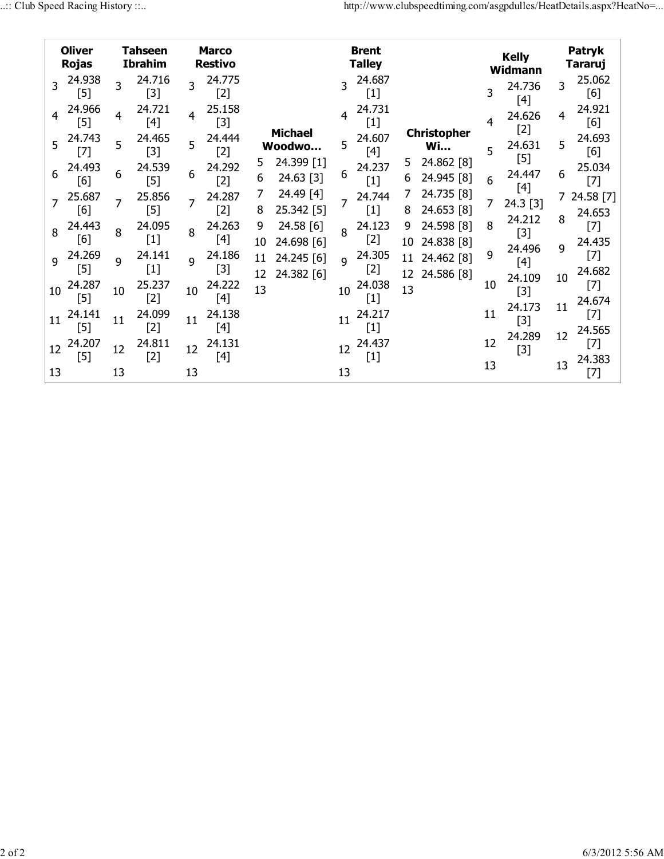|                | <b>Oliver</b><br><b>Rojas</b> |              | <b>Tahseen</b><br><b>Ibrahim</b>                                                                                                                                                                                   |                         | <b>Marco</b><br><b>Restivo</b> |          |                          |                | <b>Brent</b><br><b>Talley</b> |          |                                 |    | <b>Kelly</b><br>Widmann |        | Patryk<br><b>Tararuj</b> |
|----------------|-------------------------------|--------------|--------------------------------------------------------------------------------------------------------------------------------------------------------------------------------------------------------------------|-------------------------|--------------------------------|----------|--------------------------|----------------|-------------------------------|----------|---------------------------------|----|-------------------------|--------|--------------------------|
| 3              | 24.938<br>$[5]$               | 3            | 24.716<br>$[3]$                                                                                                                                                                                                    | $\overline{\mathbf{3}}$ | 24.775<br>$[2]$                |          |                          | 3              | 24.687<br>$[1]$               |          |                                 | 3  | 24.736<br>[4]           | 3      | 25.062<br>[6]            |
| $\overline{4}$ | 24.966<br>[5]                 | 4            | 24.721<br>[4]                                                                                                                                                                                                      | 4                       | 25.158<br>$[3]$                |          |                          | $\overline{4}$ | 24.731<br>$[1]$               |          |                                 | 4  | 24.626<br>[2]           | 4      | 24.921<br>[6]            |
| 5              | 24.743<br>$[7]$               | 5            | 24.465<br>$[3]$                                                                                                                                                                                                    | 5                       | 24.444<br>$[2]$                |          | <b>Michael</b><br>Woodwo | 5              | 24.607<br>[4]                 |          | <b>Christopher</b><br><b>Wi</b> | 5  | 24.631<br>$[5]$         | 5      | 24.693<br>[6]            |
| 6              | 24.493<br>[6]                 | 6            | 24.539<br>$[5]$                                                                                                                                                                                                    | 6                       | 24.292<br>$[2]$                | 5<br>6   | 24.399 [1]<br>24.63 [3]  | 6              | 24.237<br>$[1]$               | 5.<br>6  | 24.862 [8]<br>24.945 [8]        | 6  | 24.447<br>$[4]$         | 6      | 25.034<br>$[7]$          |
|                | 25.687<br>[6]                 | 7            | 25.856<br>$[5] % \includegraphics[width=0.9\columnwidth]{figures/fig_10.pdf} \caption{The figure shows the number of times, and the number of times, and the number of times, respectively.} \label{fig:fig:time}$ |                         | 24.287<br>$[2]$                | 7<br>8   | 24.49 [4]<br>25.342 [5]  |                | 24.744<br>$[1]$               | 7<br>8   | 24.735 [8]<br>24.653 [8]        | 7  | 24.3 [3]<br>24.212      | 7<br>8 | 24.58 [7]<br>24.653      |
| 8              | 24.443<br>[6]                 | 8            | 24.095<br>$[1]$                                                                                                                                                                                                    | 8                       | 24.263<br>$[4]$                | 9<br>10  | 24.58 [6]<br>24.698 [6]  | 8              | 24.123<br>$[2]$               | 9<br>10  | 24.598 [8]<br>24.838 [8]        | 8  | $[3]$<br>24.496         | 9      | $[7]$<br>24.435          |
| 9              | 24.269<br>$[5]$               | $\mathbf{Q}$ | 24.141<br>$[1]$                                                                                                                                                                                                    | $\mathsf{q}$            | 24.186<br>$[3]$                | 11<br>12 | 24.245 [6]<br>24.382 [6] | $\mathsf{q}$   | 24.305<br>$[2]$               | 11<br>12 | 24.462 [8]<br>24.586 [8]        | 9  | $[4]$<br>24.109         | 10     | $[7]$<br>24.682          |
| 10             | 24.287<br>$[5]$               | 10           | 25.237<br>$[2]$                                                                                                                                                                                                    | 10                      | 24.222<br>$[4]$                | 13       |                          | 10             | 24.038<br>$[1]$               | 13       |                                 | 10 | $[3]$<br>24.173         | 11     | $[7]$<br>24.674          |
| 11             | 24.141<br>$[5]$               | 11           | 24.099<br>$[2]$                                                                                                                                                                                                    | 11                      | 24.138<br>$[4]$                |          |                          | 11             | 24.217<br>$[1]$               |          |                                 | 11 | $[3]$<br>24.289         | 12     | $[7]$<br>24.565          |
| 12             | 24.207<br>$[5]$               | 12           | 24.811<br>$[2]$                                                                                                                                                                                                    | 12                      | 24.131<br>$[4]$                |          |                          | 12             | 24.437<br>$[1]$               |          |                                 | 12 | $[3]$                   | 13     | $[7]$<br>24.383          |
| 13             |                               | 13           |                                                                                                                                                                                                                    | 13                      |                                |          |                          | 13             |                               |          |                                 | 13 |                         |        | $[7]$                    |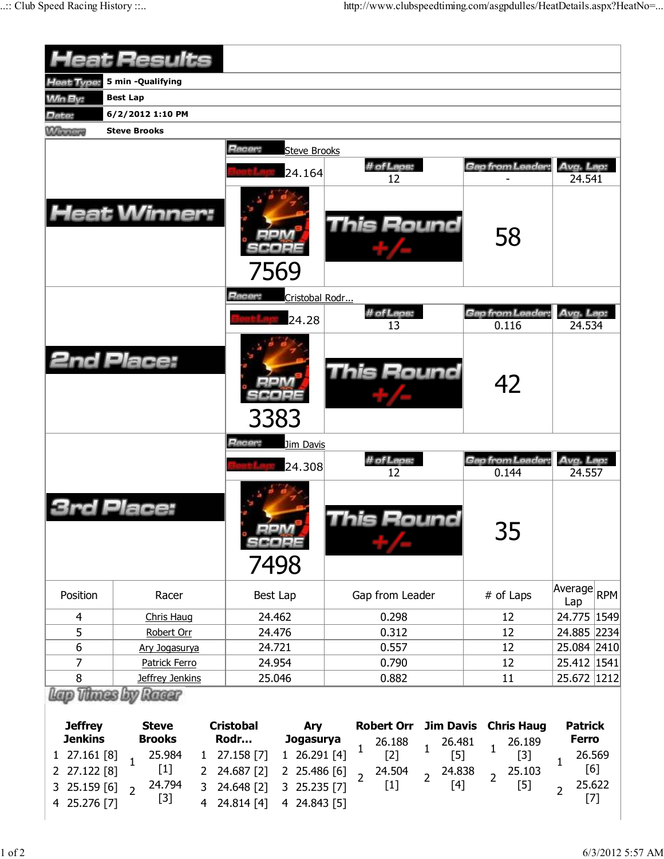|                                                                          | <b>Heat Results</b>                                                                                                     |                                                                                                                      |                                                                                          |                                            |                                                                    |
|--------------------------------------------------------------------------|-------------------------------------------------------------------------------------------------------------------------|----------------------------------------------------------------------------------------------------------------------|------------------------------------------------------------------------------------------|--------------------------------------------|--------------------------------------------------------------------|
| Heat Type:                                                               | 5 min -Qualifying                                                                                                       |                                                                                                                      |                                                                                          |                                            |                                                                    |
| <b>Min By:</b>                                                           | <b>Best Lap</b>                                                                                                         |                                                                                                                      |                                                                                          |                                            |                                                                    |
| Date:                                                                    | 6/2/2012 1:10 PM                                                                                                        |                                                                                                                      |                                                                                          |                                            |                                                                    |
| <b>Winners</b>                                                           | <b>Steve Brooks</b>                                                                                                     |                                                                                                                      |                                                                                          |                                            |                                                                    |
|                                                                          |                                                                                                                         | Racer:<br><b>Steve Brooks</b><br>24.164                                                                              | # of Laps:<br>12                                                                         | Gap from Leader:                           | Avg. Lap:<br>24.541                                                |
|                                                                          | <b>Heat Winner:</b>                                                                                                     | 7569                                                                                                                 | <b>This Round</b>                                                                        | 58                                         |                                                                    |
|                                                                          |                                                                                                                         | Racer:<br>Cristobal Rodr                                                                                             |                                                                                          |                                            |                                                                    |
|                                                                          |                                                                                                                         | 24.28                                                                                                                | # of Laps:<br>13                                                                         | Gap from Leader<br>0.116                   | Avg. Lap:<br>24.534                                                |
|                                                                          | <b>2nd Place:</b>                                                                                                       | 3383                                                                                                                 | <b>This Round</b>                                                                        | 42                                         |                                                                    |
|                                                                          |                                                                                                                         | Racer:<br>Jim Davis                                                                                                  |                                                                                          |                                            |                                                                    |
|                                                                          |                                                                                                                         | 24.308                                                                                                               | # of Laps:<br>12                                                                         | Gap from Leader:<br>0.144                  | Avg. Lap:<br>24.557                                                |
|                                                                          | Place:                                                                                                                  | 7498                                                                                                                 | his Round                                                                                | 35                                         |                                                                    |
| Position                                                                 | Racer                                                                                                                   | Best Lap                                                                                                             | Gap from Leader                                                                          | # of Laps                                  | Average<br><b>RPM</b><br>Lap                                       |
| $\overline{4}$                                                           | Chris Haug                                                                                                              | 24.462                                                                                                               | 0.298                                                                                    | 12                                         | 24.775 1549                                                        |
| 5                                                                        | Robert Orr                                                                                                              | 24.476                                                                                                               | 0.312                                                                                    | 12                                         | 24.885 2234                                                        |
| 6                                                                        | Ary Jogasurya                                                                                                           | 24.721                                                                                                               | 0.557                                                                                    | 12                                         | 25.084 2410                                                        |
| 7                                                                        | Patrick Ferro                                                                                                           | 24.954                                                                                                               | 0.790                                                                                    | 12                                         | 25.412 1541                                                        |
| 8                                                                        | Jeffrey Jenkins                                                                                                         | 25.046                                                                                                               | 0.882                                                                                    | 11                                         | 25.672 1212                                                        |
| <b>Jeffrey</b>                                                           | Racer<br><b>Steve</b>                                                                                                   | <b>Cristobal</b><br>Ary                                                                                              | <b>Robert Orr</b><br><b>Jim Davis</b>                                                    | <b>Chris Haug</b>                          | <b>Patrick</b>                                                     |
| <b>Jenkins</b>                                                           | <b>Brooks</b>                                                                                                           | Rodr<br>Jogasurya                                                                                                    | 26.188<br>26.481<br>$\mathbf{1}$<br>1                                                    | 26.189<br>$\mathbf{1}$                     | <b>Ferro</b>                                                       |
| 27.161 [8]<br>1<br>27.122 [8]<br>2<br>25.159 [6]<br>3<br>25.276 [7]<br>4 | 25.984<br>$\mathbf{1}$<br>$\mathbf{1}$<br>$[1]$<br>$\mathbf{2}^{\prime}$<br>24.794<br>3<br>$\overline{2}$<br>$[3]$<br>4 | 27.158 [7]<br>1 26.291 [4]<br>24.687 [2]<br>2 25.486 [6]<br>24.648 [2]<br>3 25.235 [7]<br>24.814 [4]<br>4 24.843 [5] | $[2]$<br>$[5]$<br>24.504<br>24.838<br>$\overline{2}$<br>$\overline{2}$<br>$[1]$<br>$[4]$ | $[3]$<br>25.103<br>$\overline{2}$<br>$[5]$ | 26.569<br>$\mathbf{1}$<br>[6]<br>25.622<br>$\overline{2}$<br>$[7]$ |